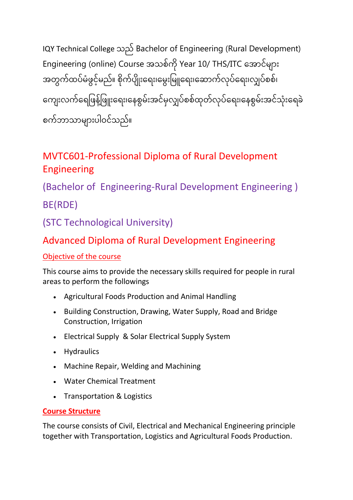IQY Technical College သည် Bachelor of Engineering (Rural Development) Engineering (online) Course အသစ်ကို Year 10/ THS/ITC အောင်များ အတွက်ထပ်မံဖွင့်မည်။ စိုက်ပျိုးရေး၊မွေးမြူရေး၊ဆောက်လုပ်ရေး၊လျှပ်စစ်၊ ကျေးလက်ရေဖြနဲ့ဖြူးရေး၊နေစွမ်းအင်မှလျှပ်စစ်ထုတ်လုပ်ရေး၊နေစွမ်းအင်သုံးရေခဲ စက်ဘာသာများပါဝင်သည်။

# MVTC601-Professional Diploma of Rural Development Engineering

(Bachelor of Engineering-Rural Development Engineering ) BE(RDE)

(STC Technological University)

## Advanced Diploma of Rural Development Engineering

#### Objective of the course

This course aims to provide the necessary skills required for people in rural areas to perform the followings

- Agricultural Foods Production and Animal Handling
- Building Construction, Drawing, Water Supply, Road and Bridge Construction, Irrigation
- Electrical Supply & Solar Electrical Supply System
- Hydraulics
- Machine Repair, Welding and Machining
- Water Chemical Treatment
- Transportation & Logistics

#### **Course Structure**

The course consists of Civil, Electrical and Mechanical Engineering principle together with Transportation, Logistics and Agricultural Foods Production.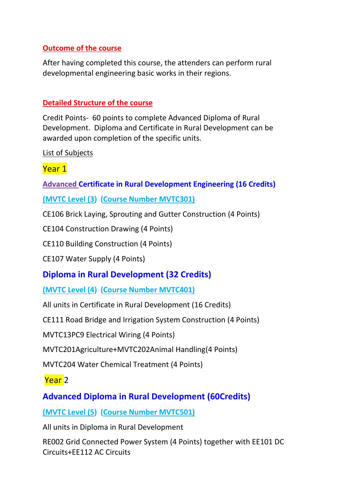#### **Outcome of the course**

After having completed this course, the attenders can perform rural developmental engineering basic works in their regions.

#### **Detailed Structure of the course**

Credit Points- 60 points to complete Advanced Diploma of Rural Development. Diploma and Certificate in Rural Development can be awarded upon completion of the specific units.

List of Subjects

#### Year 1

**Advanced [Certificate in Rural Development Engineering \(16 Credits\)](http://www.highlightcomputer.com/adrde.htm#x1)**

**(MVTC Level (3) (Course Number MVTC301)**

CE106 Brick Laying, Sprouting and Gutter Construction (4 Points)

CE104 Construction Drawing (4 Points)

CE110 Building Construction (4 Points)

CE107 Water Supply (4 Points)

#### **[Diploma in Rural Development \(32 Credits\)](http://www.highlightcomputer.com/adrde.htm#x2)**

**(MVTC Level (4) (Course Number MVTC401)**

All units in Certificate in Rural Development (16 Credits)

CE111 Road Bridge and Irrigation System Construction (4 Points)

MVTC13PC9 Electrical Wiring (4 Points)

MVTC201Agriculture+MVTC202Animal Handling(4 Points)

MVTC204 Water Chemical Treatment (4 Points)

Year 2

### **[Advanced Diploma in Rural Development \(60Credits\)](http://www.highlightcomputer.com/adrde.htm#x3)**

#### **(MVTC Level (5) (Course Number MVTC501)**

All units in Diploma in Rural Development

RE002 Grid Connected Power System (4 Points) together with EE101 DC Circuits+EE112 AC Circuits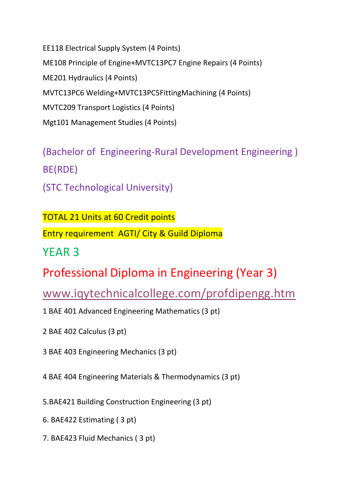EE118 Electrical Supply System (4 Points) ME108 Principle of Engine+MVTC13PC7 Engine Repairs (4 Points) ME201 Hydraulics (4 Points) MVTC13PC6 Welding+MVTC13PC5FittingMachining (4 Points) MVTC209 Transport Logistics (4 Points) Mgt101 Management Studies (4 Points)

(Bachelor of Engineering-Rural Development Engineering ) BE(RDE) (STC Technological University)

TOTAL 21 Units at 60 Credit points Entry requirement AGTI/ City & Guild Diploma

YEAR 3

Professional Diploma in Engineering (Year 3)

[www.iqytechnicalcollege.com/profdipengg.htm](http://www.iqytechnicalcollege.com/profdipengg.htm)

1 BAE 401 Advanced Engineering Mathematics (3 pt)

2 [BAE 402 Calculus](file:///S:/UserData/Downloads/B%20E+B%20App%20Sc(IT)+B%20Bus%20Course%20Detailed%20Contents%20(1).htm%23b) (3 pt)

3 [BAE 403 Engineering Mechanics](file:///S:/UserData/Downloads/B%20E+B%20App%20Sc(IT)+B%20Bus%20Course%20Detailed%20Contents%20(1).htm%23c) (3 pt)

4 [BAE 404 Engineering Materials & Thermodynamics](file:///S:/UserData/Downloads/B%20E+B%20App%20Sc(IT)+B%20Bus%20Course%20Detailed%20Contents%20(1).htm%23d) (3 pt)

5[.BAE421 Building Construction Engineering \(3](file:///S:/UserData/Downloads/B%20E+B%20App%20Sc(IT)+B%20Bus%20Course%20Detailed%20Contents%20(1).htm%23b1) pt)

6. [BAE422 Estimating](file:///S:/UserData/Downloads/B%20E+B%20App%20Sc(IT)+B%20Bus%20Course%20Detailed%20Contents%20(1).htm%23b2) ( 3 pt)

7. [BAE423 Fluid Mechanics](file:///S:/UserData/Downloads/B%20E+B%20App%20Sc(IT)+B%20Bus%20Course%20Detailed%20Contents%20(1).htm%23b3) ( 3 pt)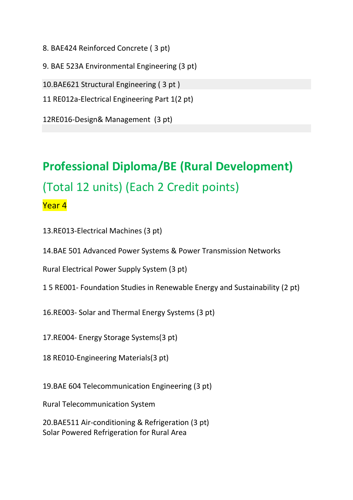8. [BAE424 Reinforced Concrete](file:///S:/UserData/Downloads/B%20E+B%20App%20Sc(IT)+B%20Bus%20Course%20Detailed%20Contents%20(1).htm%23b4) ( 3 pt)

9. [BAE 523A Environmental Engineering](file:///S:/UserData/Downloads/B%20E+B%20App%20Sc(IT)+B%20Bus%20Course%20Detailed%20Contents%20(1).htm%23z) (3 pt)

10[.BAE621 Structural Engineering \( 3](file:///S:/UserData/Downloads/B%20E+B%20App%20Sc(IT)+B%20Bus%20Course%20Detailed%20Contents%20(1).htm%23b8) pt )

11 RE012a-Electrical Engineering Part 1(2 pt)

12RE016-Design& Management (3 pt)

# **Professional Diploma/BE (Rural Development)** (Total 12 units) (Each 2 Credit points) Year 4

13.RE013-Electrical Machines (3 pt)

14[.BAE 501 Advanced Power Systems & Power Transmission Networks](file:///S:/UserData/Downloads/B%20E+B%20App%20Sc(IT)+B%20Bus%20Course%20Detailed%20Contents%20(1).htm%23i)

Rural Electrical Power Supply System (3 pt)

1 5 RE001- Foundation Studies in Renewable Energy and Sustainability (2 pt)

16.RE003- Solar and Thermal Energy Systems (3 pt)

17.RE004- Energy Storage Systems(3 pt)

18 RE010-Engineering Materials(3 pt)

19[.BAE 604 Telecommunication Engineering](file:///S:/UserData/Downloads/B%20E+B%20App%20Sc(IT)+B%20Bus%20Course%20Detailed%20Contents%20(1).htm%23t) (3 pt)

Rural Telecommunication System

20[.BAE511 Air-conditioning & Refrigeration](file:///S:/UserData/Downloads/B%20E+B%20App%20Sc(IT)+B%20Bus%20Course%20Detailed%20Contents%20(1).htm%23c1) (3 pt) Solar Powered Refrigeration for Rural Area